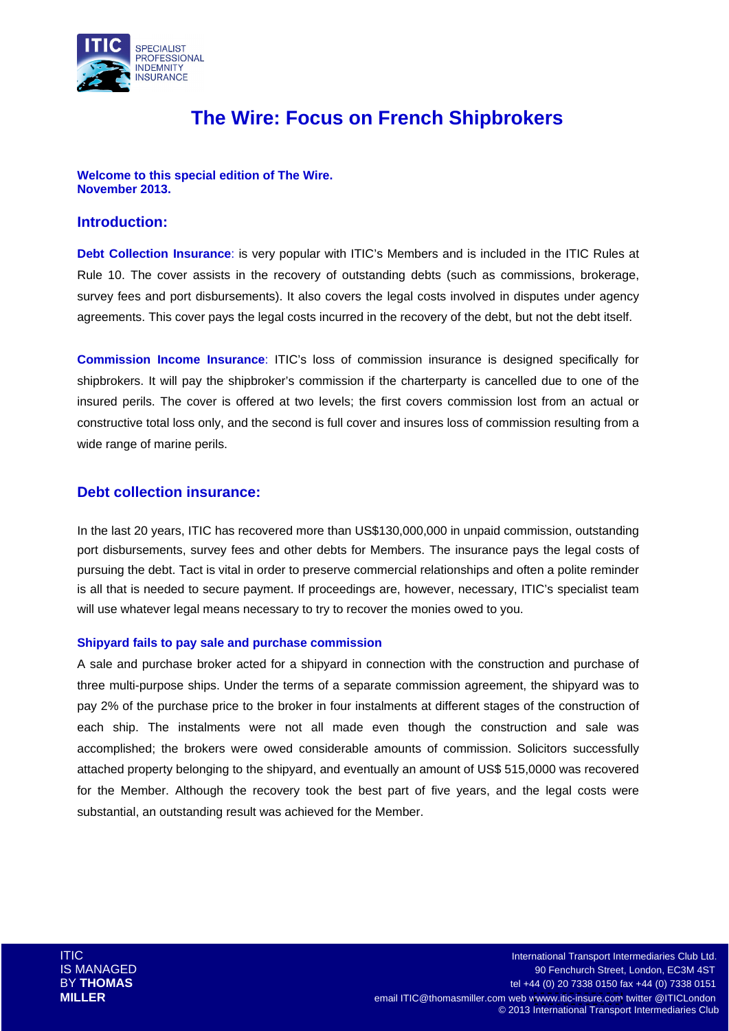

# **The Wire: Focus on French Shipbrokers**

#### **Welcome to this special edition of The Wire. November 2013.**

### **Introduction:**

**Debt Collection Insurance**: is very popular with ITIC's Members and is included in the ITIC Rules at Rule 10. The cover assists in the recovery of outstanding debts (such as commissions, brokerage, survey fees and port disbursements). It also covers the legal costs involved in disputes under agency agreements. This cover pays the legal costs incurred in the recovery of the debt, but not the debt itself.

**Commission Income Insurance**: ITIC's loss of commission insurance is designed specifically for shipbrokers. It will pay the shipbroker's commission if the charterparty is cancelled due to one of the insured perils. The cover is offered at two levels; the first covers commission lost from an actual or constructive total loss only, and the second is full cover and insures loss of commission resulting from a wide range of marine perils.

### **Debt collection insurance:**

In the last 20 years, ITIC has recovered more than US\$130,000,000 in unpaid commission, outstanding port disbursements, survey fees and other debts for Members. The insurance pays the legal costs of pursuing the debt. Tact is vital in order to preserve commercial relationships and often a polite reminder is all that is needed to secure payment. If proceedings are, however, necessary, ITIC's specialist team will use whatever legal means necessary to try to recover the monies owed to you.

#### **Shipyard fails to pay sale and purchase commission**

A sale and purchase broker acted for a shipyard in connection with the construction and purchase of three multi-purpose ships. Under the terms of a separate commission agreement, the shipyard was to pay 2% of the purchase price to the broker in four instalments at different stages of the construction of each ship. The instalments were not all made even though the construction and sale was accomplished; the brokers were owed considerable amounts of commission. Solicitors successfully attached property belonging to the shipyard, and eventually an amount of US\$ 515,0000 was recovered for the Member. Although the recovery took the best part of five years, and the legal costs were substantial, an outstanding result was achieved for the Member.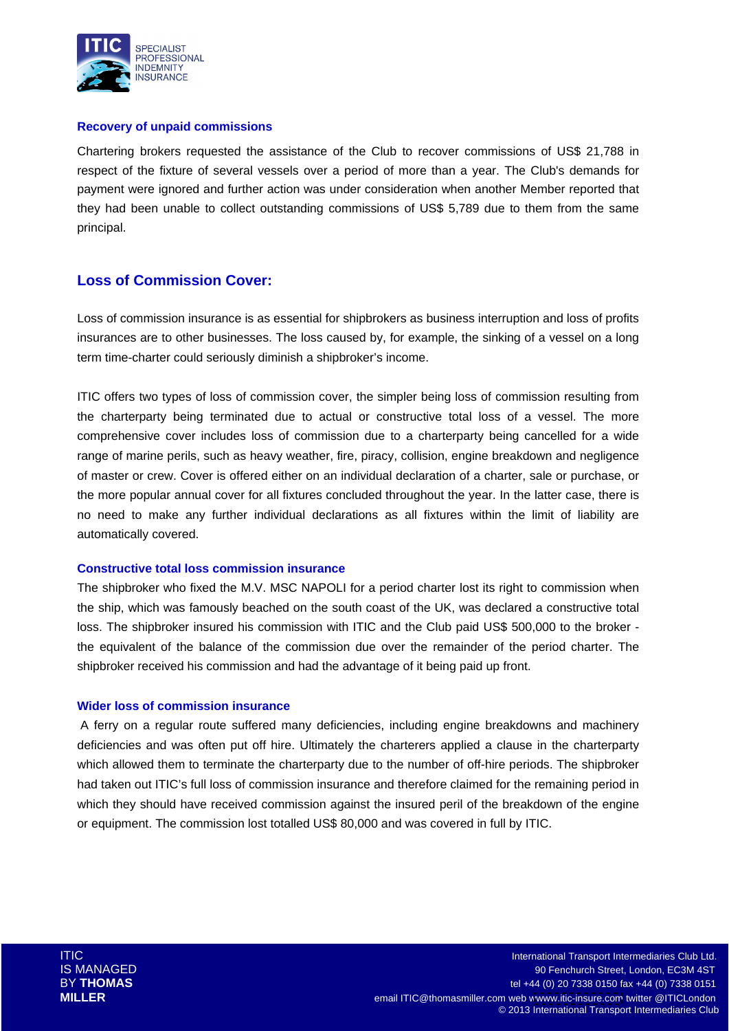

#### **Recovery of unpaid commissions**

Chartering brokers requested the assistance of the Club to recover commissions of US\$ 21,788 in respect of the fixture of several vessels over a period of more than a year. The Club's demands for payment were ignored and further action was under consideration when another Member reported that they had been unable to collect outstanding commissions of US\$ 5,789 due to them from the same principal.

# **Loss of Commission Cover:**

Loss of commission insurance is as essential for shipbrokers as business interruption and loss of profits insurances are to other businesses. The loss caused by, for example, the sinking of a vessel on a long term time-charter could seriously diminish a shipbroker's income.

ITIC offers two types of loss of commission cover, the simpler being loss of commission resulting from the charterparty being terminated due to actual or constructive total loss of a vessel. The more comprehensive cover includes loss of commission due to a charterparty being cancelled for a wide range of marine perils, such as heavy weather, fire, piracy, collision, engine breakdown and negligence of master or crew. Cover is offered either on an individual declaration of a charter, sale or purchase, or the more popular annual cover for all fixtures concluded throughout the year. In the latter case, there is no need to make any further individual declarations as all fixtures within the limit of liability are automatically covered.

#### **Constructive total loss commission insurance**

The shipbroker who fixed the M.V. MSC NAPOLI for a period charter lost its right to commission when the ship, which was famously beached on the south coast of the UK, was declared a constructive total loss. The shipbroker insured his commission with ITIC and the Club paid US\$ 500,000 to the broker the equivalent of the balance of the commission due over the remainder of the period charter. The shipbroker received his commission and had the advantage of it being paid up front.

#### **Wider loss of commission insurance**

A ferry on a regular route suffered many deficiencies, including engine breakdowns and machinery deficiencies and was often put off hire. Ultimately the charterers applied a clause in the charterparty which allowed them to terminate the charterparty due to the number of off-hire periods. The shipbroker had taken out ITIC's full loss of commission insurance and therefore claimed for the remaining period in which they should have received commission against the insured peril of the breakdown of the engine or equipment. The commission lost totalled US\$ 80,000 and was covered in full by ITIC.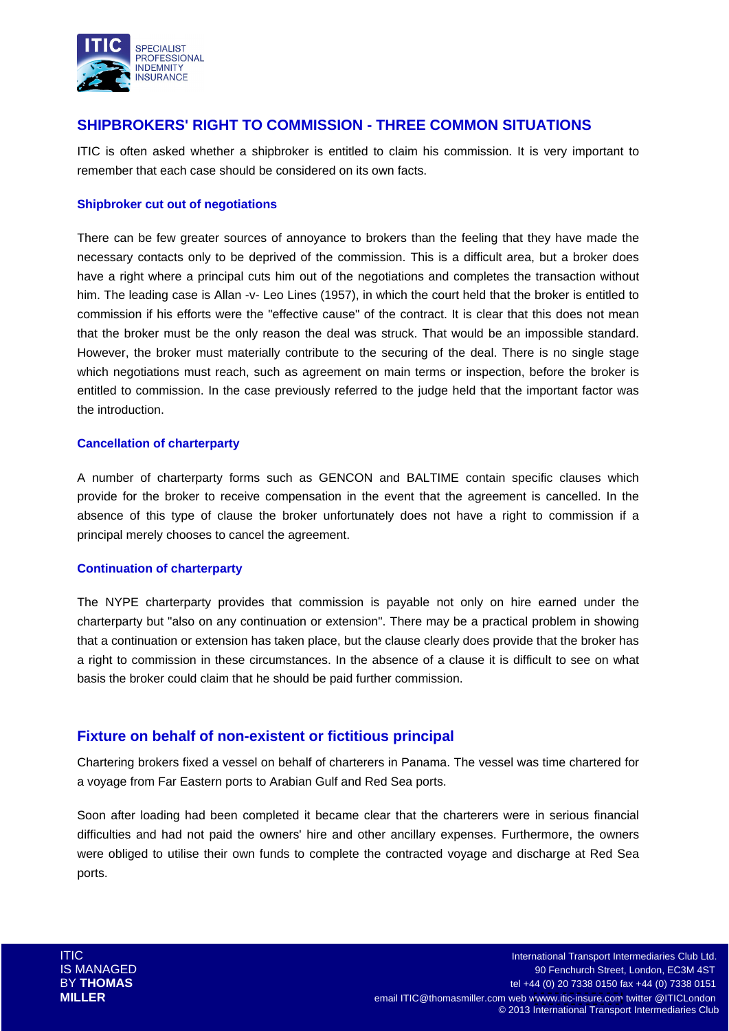

# **SHIPBROKERS' RIGHT TO COMMISSION - THREE COMMON SITUATIONS**

ITIC is often asked whether a shipbroker is entitled to claim his commission. It is very important to remember that each case should be considered on its own facts.

### **Shipbroker cut out of negotiations**

There can be few greater sources of annoyance to brokers than the feeling that they have made the necessary contacts only to be deprived of the commission. This is a difficult area, but a broker does have a right where a principal cuts him out of the negotiations and completes the transaction without him. The leading case is Allan -v- Leo Lines (1957), in which the court held that the broker is entitled to commission if his efforts were the "effective cause" of the contract. It is clear that this does not mean that the broker must be the only reason the deal was struck. That would be an impossible standard. However, the broker must materially contribute to the securing of the deal. There is no single stage which negotiations must reach, such as agreement on main terms or inspection, before the broker is entitled to commission. In the case previously referred to the judge held that the important factor was the introduction.

### **Cancellation of charterparty**

A number of charterparty forms such as GENCON and BALTIME contain specific clauses which provide for the broker to receive compensation in the event that the agreement is cancelled. In the absence of this type of clause the broker unfortunately does not have a right to commission if a principal merely chooses to cancel the agreement.

#### **Continuation of charterparty**

The NYPE charterparty provides that commission is payable not only on hire earned under the charterparty but "also on any continuation or extension". There may be a practical problem in showing that a continuation or extension has taken place, but the clause clearly does provide that the broker has a right to commission in these circumstances. In the absence of a clause it is difficult to see on what basis the broker could claim that he should be paid further commission.

### **Fixture on behalf of non-existent or fictitious principal**

Chartering brokers fixed a vessel on behalf of charterers in Panama. The vessel was time chartered for a voyage from Far Eastern ports to Arabian Gulf and Red Sea ports.

Soon after loading had been completed it became clear that the charterers were in serious financial difficulties and had not paid the owners' hire and other ancillary expenses. Furthermore, the owners were obliged to utilise their own funds to complete the contracted voyage and discharge at Red Sea ports.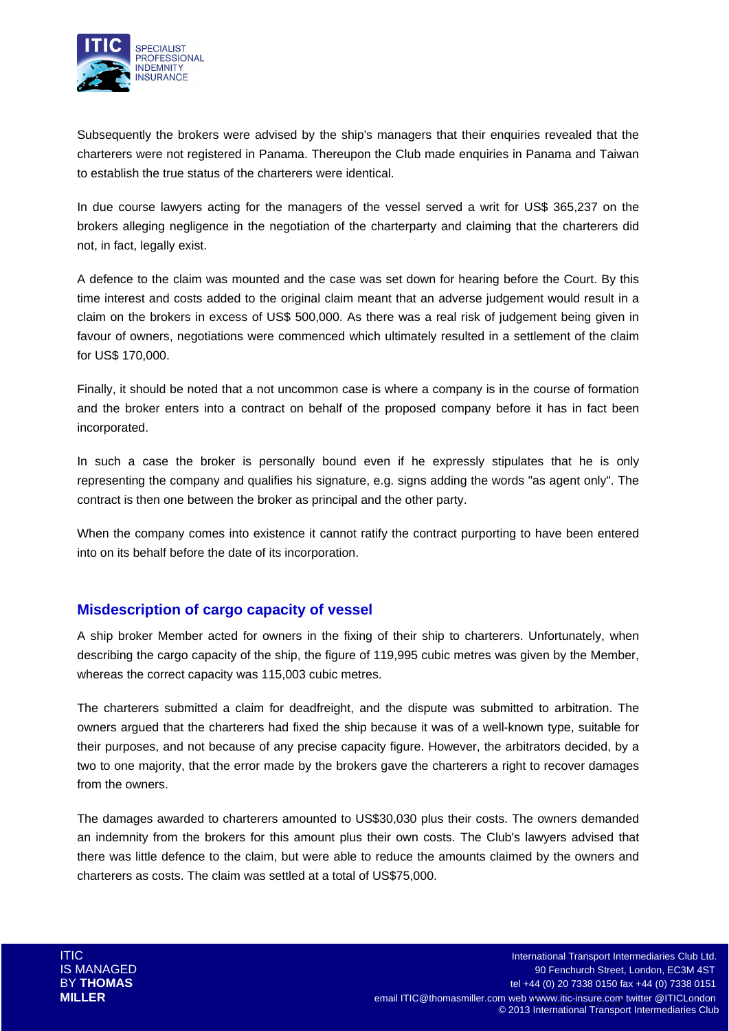

Subsequently the brokers were advised by the ship's managers that their enquiries revealed that the charterers were not registered in Panama. Thereupon the Club made enquiries in Panama and Taiwan to establish the true status of the charterers were identical.

In due course lawyers acting for the managers of the vessel served a writ for US\$ 365,237 on the brokers alleging negligence in the negotiation of the charterparty and claiming that the charterers did not, in fact, legally exist.

A defence to the claim was mounted and the case was set down for hearing before the Court. By this time interest and costs added to the original claim meant that an adverse judgement would result in a claim on the brokers in excess of US\$ 500,000. As there was a real risk of judgement being given in favour of owners, negotiations were commenced which ultimately resulted in a settlement of the claim for US\$ 170,000.

Finally, it should be noted that a not uncommon case is where a company is in the course of formation and the broker enters into a contract on behalf of the proposed company before it has in fact been incorporated.

In such a case the broker is personally bound even if he expressly stipulates that he is only representing the company and qualifies his signature, e.g. signs adding the words "as agent only". The contract is then one between the broker as principal and the other party.

When the company comes into existence it cannot ratify the contract purporting to have been entered into on its behalf before the date of its incorporation.

# **Misdescription of cargo capacity of vessel**

A ship broker Member acted for owners in the fixing of their ship to charterers. Unfortunately, when describing the cargo capacity of the ship, the figure of 119,995 cubic metres was given by the Member, whereas the correct capacity was 115,003 cubic metres.

The charterers submitted a claim for deadfreight, and the dispute was submitted to arbitration. The owners argued that the charterers had fixed the ship because it was of a well-known type, suitable for their purposes, and not because of any precise capacity figure. However, the arbitrators decided, by a two to one majority, that the error made by the brokers gave the charterers a right to recover damages from the owners. The state of the state of the state of the state of the state of the state of the state of the state of the state of the state of the state of the state of the state of the state of the state of the state

The damages awarded to charterers amounted to US\$30,030 plus their costs. The owners demanded an indemnity from the brokers for this amount plus their own costs. The Club's lawyers advised that there was little defence to the claim, but were able to reduce the amounts claimed by the owners and charterers as costs. The claim was settled at a total of US\$75,000.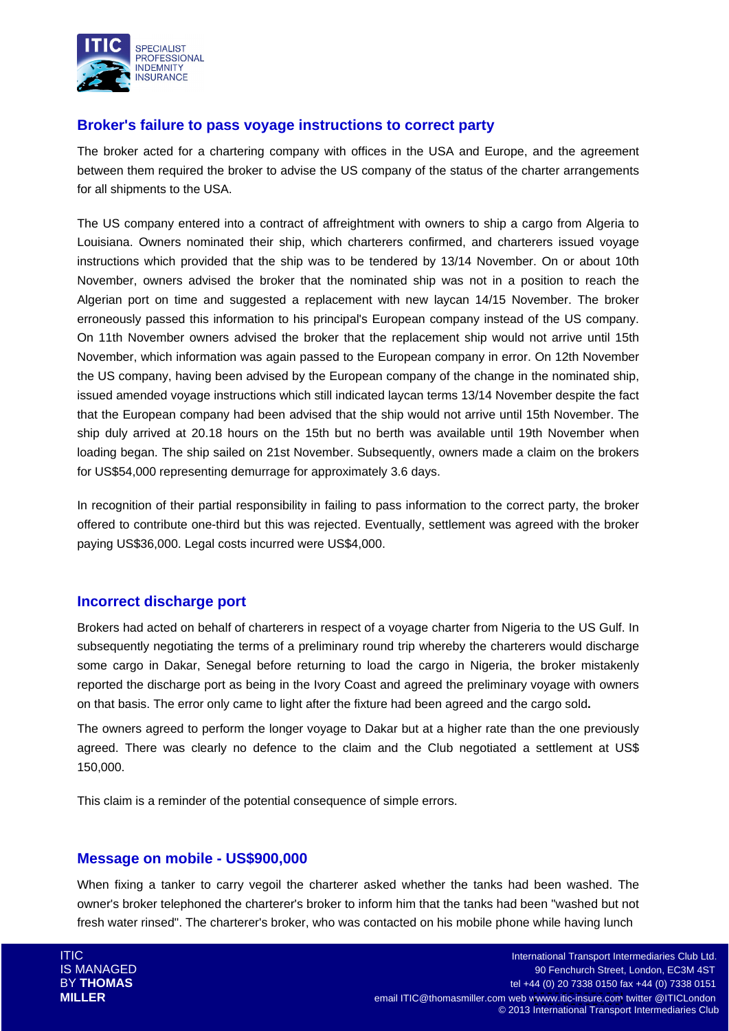

# **Broker's failure to pass voyage instructions to correct party**

The broker acted for a chartering company with offices in the USA and Europe, and the agreement between them required the broker to advise the US company of the status of the charter arrangements for all shipments to the USA.

The US company entered into a contract of affreightment with owners to ship a cargo from Algeria to Louisiana. Owners nominated their ship, which charterers confirmed, and charterers issued voyage instructions which provided that the ship was to be tendered by 13/14 November. On or about 10th November, owners advised the broker that the nominated ship was not in a position to reach the Algerian port on time and suggested a replacement with new laycan 14/15 November. The broker erroneously passed this information to his principal's European company instead of the US company. On 11th November owners advised the broker that the replacement ship would not arrive until 15th November, which information was again passed to the European company in error. On 12th November the US company, having been advised by the European company of the change in the nominated ship, issued amended voyage instructions which still indicated laycan terms 13/14 November despite the fact that the European company had been advised that the ship would not arrive until 15th November. The ship duly arrived at 20.18 hours on the 15th but no berth was available until 19th November when loading began. The ship sailed on 21st November. Subsequently, owners made a claim on the brokers for US\$54,000 representing demurrage for approximately 3.6 days.

In recognition of their partial responsibility in failing to pass information to the correct party, the broker offered to contribute one-third but this was rejected. Eventually, settlement was agreed with the broker paying US\$36,000. Legal costs incurred were US\$4,000.

# **Incorrect discharge port**

Brokers had acted on behalf of charterers in respect of a voyage charter from Nigeria to the US Gulf. In subsequently negotiating the terms of a preliminary round trip whereby the charterers would discharge some cargo in Dakar, Senegal before returning to load the cargo in Nigeria, the broker mistakenly reported the discharge port as being in the Ivory Coast and agreed the preliminary voyage with owners on that basis. The error only came to light after the fixture had been agreed and the cargo sold**.** 

The owners agreed to perform the longer voyage to Dakar but at a higher rate than the one previously agreed. There was clearly no defence to the claim and the Club negotiated a settlement at US\$ 150,000.

This claim is a reminder of the potential consequence of simple errors.

# **Message on mobile - US\$900,000**

When fixing a tanker to carry vegoil the charterer asked whether the tanks had been washed. The owner's broker telephoned the charterer's broker to inform him that the tanks had been "washed but not fresh water rinsed". The charterer's broker, who was contacted on his mobile phone while having lunch